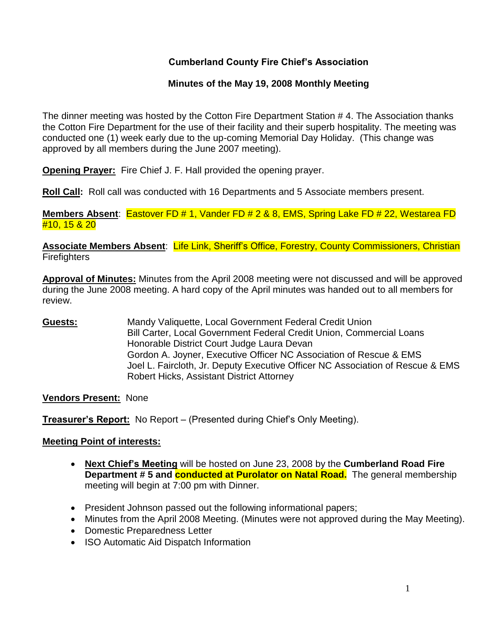# **Cumberland County Fire Chief's Association**

# **Minutes of the May 19, 2008 Monthly Meeting**

The dinner meeting was hosted by the Cotton Fire Department Station # 4. The Association thanks the Cotton Fire Department for the use of their facility and their superb hospitality. The meeting was conducted one (1) week early due to the up-coming Memorial Day Holiday. (This change was approved by all members during the June 2007 meeting).

**Opening Prayer:** Fire Chief J. F. Hall provided the opening prayer.

**Roll Call:** Roll call was conducted with 16 Departments and 5 Associate members present.

**Members Absent**: Eastover FD # 1, Vander FD # 2 & 8, EMS, Spring Lake FD # 22, Westarea FD #10, 15 & 20

**Associate Members Absent**: Life Link, Sheriff's Office, Forestry, County Commissioners, Christian **Firefighters** 

**Approval of Minutes:** Minutes from the April 2008 meeting were not discussed and will be approved during the June 2008 meeting. A hard copy of the April minutes was handed out to all members for review.

**Guests:** Mandy Valiquette, Local Government Federal Credit Union Bill Carter, Local Government Federal Credit Union, Commercial Loans Honorable District Court Judge Laura Devan Gordon A. Joyner, Executive Officer NC Association of Rescue & EMS Joel L. Faircloth, Jr. Deputy Executive Officer NC Association of Rescue & EMS Robert Hicks, Assistant District Attorney

#### **Vendors Present:** None

**Treasurer's Report:** No Report – (Presented during Chief's Only Meeting).

#### **Meeting Point of interests:**

- **Next Chief's Meeting** will be hosted on June 23, 2008 by the **Cumberland Road Fire Department # 5 and conducted at Purolator on Natal Road.** The general membership meeting will begin at 7:00 pm with Dinner.
- President Johnson passed out the following informational papers;
- Minutes from the April 2008 Meeting. (Minutes were not approved during the May Meeting).
- Domestic Preparedness Letter
- ISO Automatic Aid Dispatch Information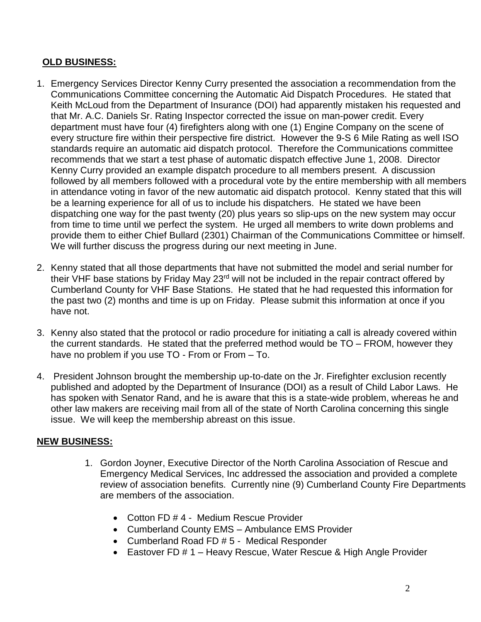# **OLD BUSINESS:**

- 1. Emergency Services Director Kenny Curry presented the association a recommendation from the Communications Committee concerning the Automatic Aid Dispatch Procedures. He stated that Keith McLoud from the Department of Insurance (DOI) had apparently mistaken his requested and that Mr. A.C. Daniels Sr. Rating Inspector corrected the issue on man-power credit. Every department must have four (4) firefighters along with one (1) Engine Company on the scene of every structure fire within their perspective fire district. However the 9-S 6 Mile Rating as well ISO standards require an automatic aid dispatch protocol. Therefore the Communications committee recommends that we start a test phase of automatic dispatch effective June 1, 2008. Director Kenny Curry provided an example dispatch procedure to all members present. A discussion followed by all members followed with a procedural vote by the entire membership with all members in attendance voting in favor of the new automatic aid dispatch protocol. Kenny stated that this will be a learning experience for all of us to include his dispatchers. He stated we have been dispatching one way for the past twenty (20) plus years so slip-ups on the new system may occur from time to time until we perfect the system. He urged all members to write down problems and provide them to either Chief Bullard (2301) Chairman of the Communications Committee or himself. We will further discuss the progress during our next meeting in June.
- 2. Kenny stated that all those departments that have not submitted the model and serial number for their VHF base stations by Friday May 23rd will not be included in the repair contract offered by Cumberland County for VHF Base Stations. He stated that he had requested this information for the past two (2) months and time is up on Friday. Please submit this information at once if you have not.
- 3. Kenny also stated that the protocol or radio procedure for initiating a call is already covered within the current standards. He stated that the preferred method would be TO – FROM, however they have no problem if you use TO - From or From – To.
- 4. President Johnson brought the membership up-to-date on the Jr. Firefighter exclusion recently published and adopted by the Department of Insurance (DOI) as a result of Child Labor Laws. He has spoken with Senator Rand, and he is aware that this is a state-wide problem, whereas he and other law makers are receiving mail from all of the state of North Carolina concerning this single issue. We will keep the membership abreast on this issue.

# **NEW BUSINESS:**

- 1. Gordon Joyner, Executive Director of the North Carolina Association of Rescue and Emergency Medical Services, Inc addressed the association and provided a complete review of association benefits. Currently nine (9) Cumberland County Fire Departments are members of the association.
	- Cotton FD # 4 Medium Rescue Provider
	- Cumberland County EMS Ambulance EMS Provider
	- Cumberland Road FD # 5 Medical Responder
	- Eastover FD # 1 Heavy Rescue, Water Rescue & High Angle Provider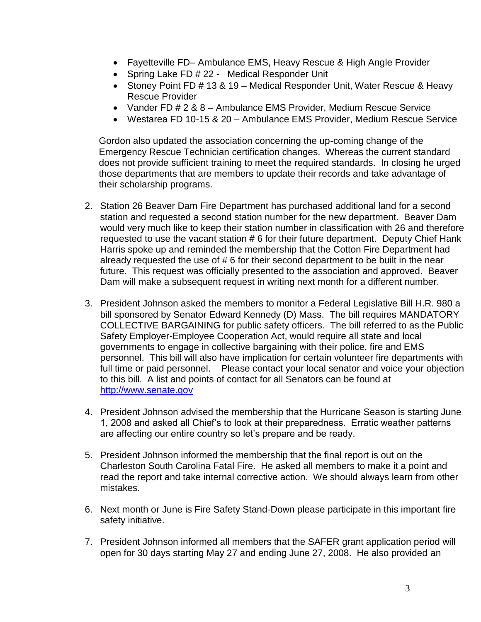- Fayetteville FD– Ambulance EMS, Heavy Rescue & High Angle Provider
- Spring Lake FD # 22 Medical Responder Unit
- Stoney Point FD # 13 & 19 Medical Responder Unit, Water Rescue & Heavy Rescue Provider
- Vander FD # 2 & 8 Ambulance EMS Provider, Medium Rescue Service
- Westarea FD 10-15 & 20 Ambulance EMS Provider, Medium Rescue Service

Gordon also updated the association concerning the up-coming change of the Emergency Rescue Technician certification changes. Whereas the current standard does not provide sufficient training to meet the required standards. In closing he urged those departments that are members to update their records and take advantage of their scholarship programs.

- 2. Station 26 Beaver Dam Fire Department has purchased additional land for a second station and requested a second station number for the new department. Beaver Dam would very much like to keep their station number in classification with 26 and therefore requested to use the vacant station # 6 for their future department. Deputy Chief Hank Harris spoke up and reminded the membership that the Cotton Fire Department had already requested the use of # 6 for their second department to be built in the near future. This request was officially presented to the association and approved. Beaver Dam will make a subsequent request in writing next month for a different number.
- 3. President Johnson asked the members to monitor a Federal Legislative Bill H.R. 980 a bill sponsored by Senator Edward Kennedy (D) Mass. The bill requires MANDATORY COLLECTIVE BARGAINING for public safety officers. The bill referred to as the Public Safety Employer-Employee Cooperation Act, would require all state and local governments to engage in collective bargaining with their police, fire and EMS personnel. This bill will also have implication for certain volunteer fire departments with full time or paid personnel. Please contact your local senator and voice your objection to this bill. A list and points of contact for all Senators can be found at [http://www.senate.gov](http://www.senate.gov/)
- 4. President Johnson advised the membership that the Hurricane Season is starting June 1, 2008 and asked all Chief's to look at their preparedness. Erratic weather patterns are affecting our entire country so let's prepare and be ready.
- 5. President Johnson informed the membership that the final report is out on the Charleston South Carolina Fatal Fire. He asked all members to make it a point and read the report and take internal corrective action. We should always learn from other mistakes.
- 6. Next month or June is Fire Safety Stand-Down please participate in this important fire safety initiative.
- 7. President Johnson informed all members that the SAFER grant application period will open for 30 days starting May 27 and ending June 27, 2008. He also provided an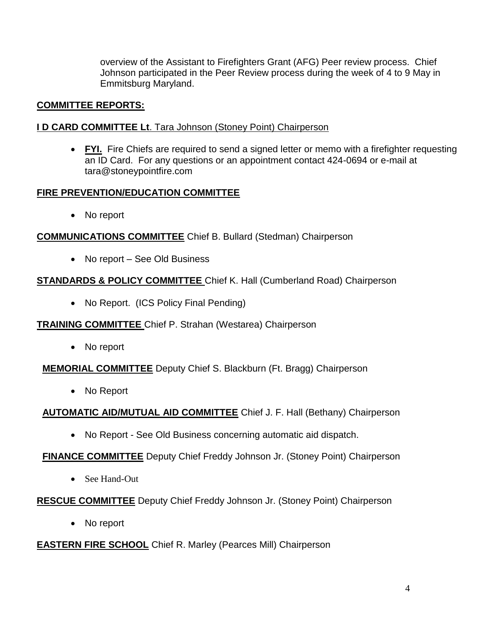overview of the Assistant to Firefighters Grant (AFG) Peer review process. Chief Johnson participated in the Peer Review process during the week of 4 to 9 May in Emmitsburg Maryland.

# **COMMITTEE REPORTS:**

#### **I D CARD COMMITTEE Lt**. Tara Johnson (Stoney Point) Chairperson

 **FYI.** Fire Chiefs are required to send a signed letter or memo with a firefighter requesting an ID Card. For any questions or an appointment contact 424-0694 or e-mail at [tara@stoneypointfire.com](mailto:tara@stoneypointfire.com)

#### **FIRE PREVENTION/EDUCATION COMMITTEE**

• No report

# **COMMUNICATIONS COMMITTEE** Chief B. Bullard (Stedman) Chairperson

• No report – See Old Business

# **STANDARDS & POLICY COMMITTEE** Chief K. Hall (Cumberland Road) Chairperson

• No Report. (ICS Policy Final Pending)

#### **TRAINING COMMITTEE** Chief P. Strahan (Westarea) Chairperson

• No report

# **MEMORIAL COMMITTEE** Deputy Chief S. Blackburn (Ft. Bragg) Chairperson

• No Report

# **AUTOMATIC AID/MUTUAL AID COMMITTEE** Chief J. F. Hall (Bethany) Chairperson

• No Report - See Old Business concerning automatic aid dispatch.

# **FINANCE COMMITTEE** Deputy Chief Freddy Johnson Jr. (Stoney Point) Chairperson

• See Hand-Out

# **RESCUE COMMITTEE** Deputy Chief Freddy Johnson Jr. (Stoney Point) Chairperson

• No report

#### **EASTERN FIRE SCHOOL** Chief R. Marley (Pearces Mill) Chairperson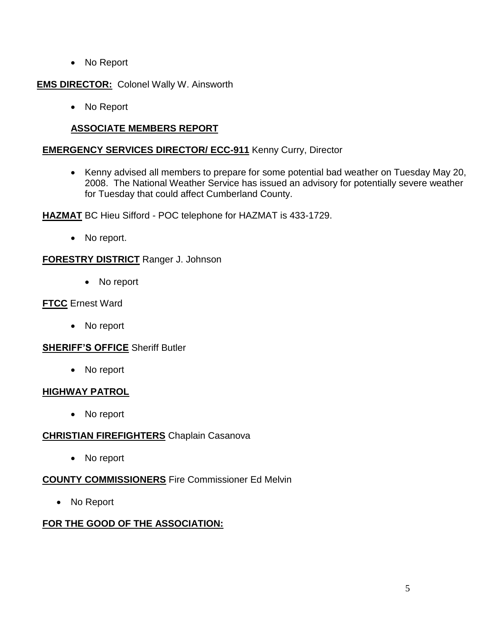• No Report

#### **EMS DIRECTOR:** Colonel Wally W. Ainsworth

• No Report

# **ASSOCIATE MEMBERS REPORT**

#### **EMERGENCY SERVICES DIRECTOR/ ECC-911** Kenny Curry, Director

• Kenny advised all members to prepare for some potential bad weather on Tuesday May 20, 2008. The National Weather Service has issued an advisory for potentially severe weather for Tuesday that could affect Cumberland County.

**HAZMAT** BC Hieu Sifford - POC telephone for HAZMAT is 433-1729.

• No report.

#### **FORESTRY DISTRICT** Ranger J. Johnson

• No report

# **FTCC** Ernest Ward

No report

#### **SHERIFF'S OFFICE** Sheriff Butler

• No report

# **HIGHWAY PATROL**

No report

# **CHRISTIAN FIREFIGHTERS** Chaplain Casanova

• No report

# **COUNTY COMMISSIONERS** Fire Commissioner Ed Melvin

• No Report

# **FOR THE GOOD OF THE ASSOCIATION:**